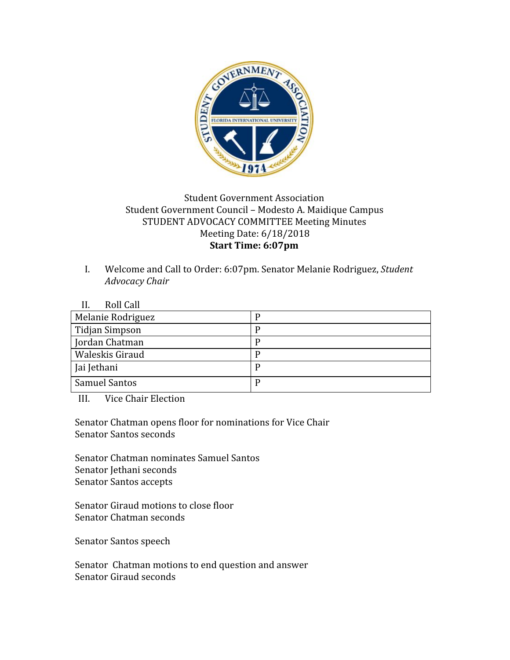

## Student Government Association Student Government Council – Modesto A. Maidique Campus STUDENT ADVOCACY COMMITTEE Meeting Minutes Meeting Date: 6/18/2018 **Start Time: 6:07pm**

I. Welcome and Call to Order: 6:07pm. Senator Melanie Rodriguez, *Student Advocacy Chair*

| Roll Call             |   |
|-----------------------|---|
| Melanie Rodriguez     | P |
| <b>Tidjan Simpson</b> | P |
| Jordan Chatman        | P |
| Waleskis Giraud       | P |
| Jai Jethani           | P |
| <b>Samuel Santos</b>  | P |

III. Vice Chair Election

Senator Chatman opens floor for nominations for Vice Chair Senator Santos seconds

Senator Chatman nominates Samuel Santos Senator Jethani seconds Senator Santos accepts

Senator Giraud motions to close floor Senator Chatman seconds

Senator Santos speech

Senator Chatman motions to end question and answer Senator Giraud seconds